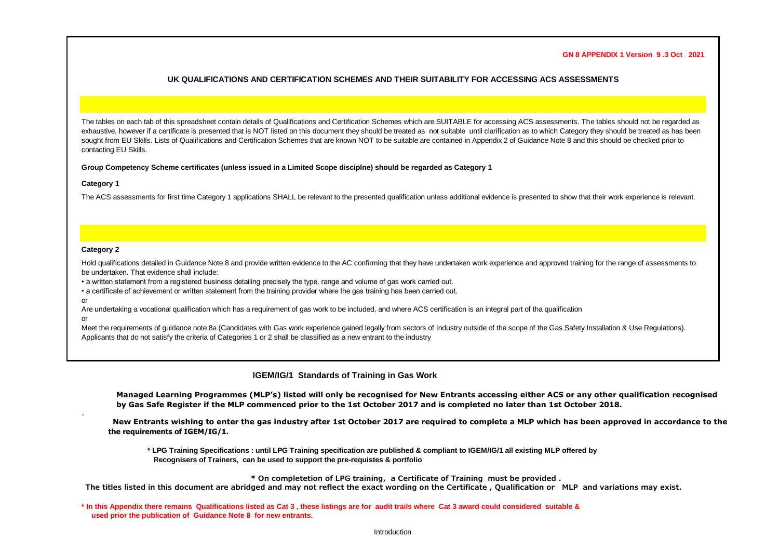#### **GN 8 APPENDIX 1 Version 9 .3 Oct 2021**

## **UK QUALIFICATIONS AND CERTIFICATION SCHEMES AND THEIR SUITABILITY FOR ACCESSING ACS ASSESSMENTS**

The tables on each tab of this spreadsheet contain details of Qualifications and Certification Schemes which are SUITABLE for accessing ACS assessments. The tables should not be regarded as exhaustive, however if a certificate is presented that is NOT listed on this document they should be treated as not suitable until clarification as to which Category they should be treated as has been sought from EU Skills. Lists of Qualifications and Certification Schemes that are known NOT to be suitable are contained in Appendix 2 of Guidance Note 8 and this should be checked prior to contacting EU Skills.

#### **Group Competency Scheme certificates (unless issued in a Limited Scope disciplne) should be regarded as Category 1**

#### **Category 1**

The ACS assessments for first time Category 1 applications SHALL be relevant to the presented qualification unless additional evidence is presented to show that their work experience is relevant.

### **Category 2**

Hold qualifications detailed in Guidance Note 8 and provide written evidence to the AC confirming that they have undertaken work experience and approved training for the range of assessments to be undertaken. That evidence shall include:

• a written statement from a registered business detailing precisely the type, range and volume of gas work carried out.

• a certificate of achievement or written statement from the training provider where the gas training has been carried out.

or

Are undertaking a vocational qualification which has a requirement of gas work to be included, and where ACS certification is an integral part of tha qualification

or

.

Meet the requirements of quidance note 8a (Candidates with Gas work experience gained legally from sectors of Industry outside of the scope of the Gas Safety Installation & Use Requlations). Applicants that do not satisfy the criteria of Categories 1 or 2 shall be classified as a new entrant to the industry

# **IGEM/IG/1 Standards of Training in Gas Work**

**Managed Learning Programmes (MLP's) listed will only be recognised for New Entrants accessing either ACS or any other qualification recognised by Gas Safe Register if the MLP commenced prior to the 1st October 2017 and is completed no later than 1st October 2018.** 

 **New Entrants wishing to enter the gas industry after 1st October 2017 are required to complete a MLP which has been approved in accordance to the the requirements of IGEM/IG/1.**

 **\* LPG Training Specifications : until LPG Training specification are published & compliant to IGEM/IG/1 all existing MLP offered by Recognisers of Trainers, can be used to support the pre-requistes & portfolio**

**\* On completetion of LPG training, a Certificate of Training must be provided .**

**The titles listed in this document are abridged and may not reflect the exact wording on the Certificate , Qualification or MLP and variations may exist.** 

**\* In this Appendix there remains Qualifications listed as Cat 3 , these listings are for audit trails where Cat 3 award could considered suitable & used prior the publication of Guidance Note 8 for new entrants.**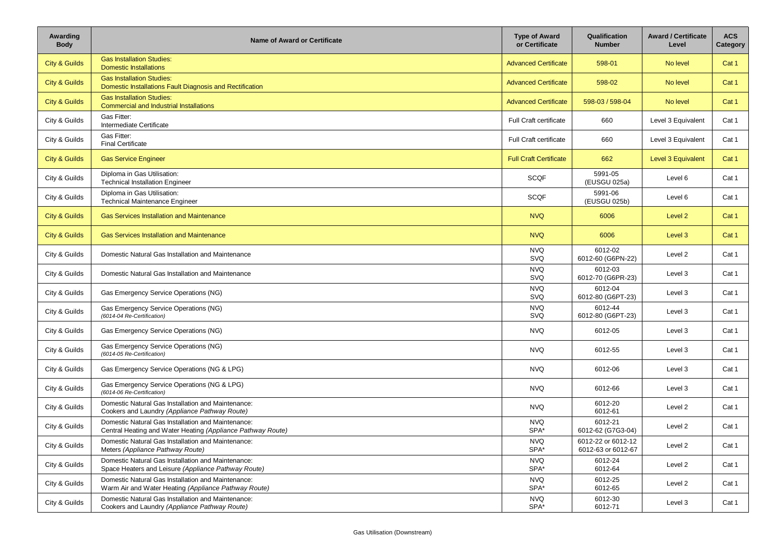| Awarding<br><b>Body</b>  | <b>Name of Award or Certificate</b>                                                                               | <b>Type of Award</b><br>or Certificate | Qualification<br><b>Number</b>           | <b>Award / Certificate</b><br>Level | <b>ACS</b><br>Category |
|--------------------------|-------------------------------------------------------------------------------------------------------------------|----------------------------------------|------------------------------------------|-------------------------------------|------------------------|
| <b>City &amp; Guilds</b> | <b>Gas Installation Studies:</b><br><b>Domestic Installations</b>                                                 | <b>Advanced Certificate</b>            | 598-01                                   | No level                            | Cat 1                  |
| <b>City &amp; Guilds</b> | <b>Gas Installation Studies:</b><br>Domestic Installations Fault Diagnosis and Rectification                      | <b>Advanced Certificate</b>            | 598-02                                   | No level                            | Cat 1                  |
| <b>City &amp; Guilds</b> | <b>Gas Installation Studies:</b><br><b>Commercial and Industrial Installations</b>                                | <b>Advanced Certificate</b>            | 598-03 / 598-04                          | No level                            | Cat 1                  |
| City & Guilds            | Gas Fitter:<br>Intermediate Certificate                                                                           | <b>Full Craft certificate</b>          | 660                                      | Level 3 Equivalent                  | Cat 1                  |
| City & Guilds            | Gas Fitter:<br><b>Final Certificate</b>                                                                           | <b>Full Craft certificate</b>          | 660                                      | Level 3 Equivalent                  | Cat 1                  |
| <b>City &amp; Guilds</b> | <b>Gas Service Engineer</b>                                                                                       | <b>Full Craft Certificate</b>          | 662                                      | <b>Level 3 Equivalent</b>           | Cat 1                  |
| City & Guilds            | Diploma in Gas Utilisation:<br><b>Technical Installation Engineer</b>                                             | <b>SCQF</b>                            | 5991-05<br>(EUSGU 025a)                  | Level 6                             | Cat 1                  |
| City & Guilds            | Diploma in Gas Utilisation:<br><b>Technical Maintenance Engineer</b>                                              | <b>SCQF</b>                            | 5991-06<br>(EUSGU 025b)                  | Level 6                             | Cat 1                  |
| <b>City &amp; Guilds</b> | <b>Gas Services Installation and Maintenance</b>                                                                  | <b>NVQ</b>                             | 6006                                     | Level 2                             | Cat 1                  |
| <b>City &amp; Guilds</b> | <b>Gas Services Installation and Maintenance</b>                                                                  | <b>NVQ</b>                             | 6006                                     | Level 3                             | Cat 1                  |
| City & Guilds            | Domestic Natural Gas Installation and Maintenance                                                                 | <b>NVQ</b><br>SVQ                      | 6012-02<br>6012-60 (G6PN-22)             | Level 2                             | Cat 1                  |
| City & Guilds            | Domestic Natural Gas Installation and Maintenance                                                                 | <b>NVQ</b><br>SVQ                      | 6012-03<br>6012-70 (G6PR-23)             | Level 3                             | Cat 1                  |
| City & Guilds            | Gas Emergency Service Operations (NG)                                                                             | <b>NVQ</b><br>SVQ                      | 6012-04<br>6012-80 (G6PT-23)             | Level 3                             | Cat 1                  |
| City & Guilds            | Gas Emergency Service Operations (NG)<br>(6014-04 Re-Certification)                                               | <b>NVQ</b><br><b>SVQ</b>               | 6012-44<br>6012-80 (G6PT-23)             | Level 3                             | Cat 1                  |
| City & Guilds            | Gas Emergency Service Operations (NG)                                                                             | <b>NVQ</b>                             | 6012-05                                  | Level 3                             | Cat 1                  |
| City & Guilds            | Gas Emergency Service Operations (NG)<br>(6014-05 Re-Certification)                                               | <b>NVQ</b>                             | 6012-55                                  | Level 3                             | Cat 1                  |
| City & Guilds            | Gas Emergency Service Operations (NG & LPG)                                                                       | <b>NVQ</b>                             | 6012-06                                  | Level 3                             | Cat 1                  |
| City & Guilds            | Gas Emergency Service Operations (NG & LPG)<br>(6014-06 Re-Certification)                                         | <b>NVQ</b>                             | 6012-66                                  | Level 3                             | Cat 1                  |
| City & Guilds            | Domestic Natural Gas Installation and Maintenance:<br>Cookers and Laundry (Appliance Pathway Route)               | <b>NVQ</b>                             | 6012-20<br>6012-61                       | Level 2                             | Cat 1                  |
| City & Guilds            | Domestic Natural Gas Installation and Maintenance:<br>Central Heating and Water Heating (Appliance Pathway Route) | <b>NVQ</b><br>SPA*                     | 6012-21<br>6012-62 (G7G3-04)             | Level 2                             | Cat 1                  |
| City & Guilds            | Domestic Natural Gas Installation and Maintenance:<br>Meters (Appliance Pathway Route)                            | <b>NVQ</b><br>SPA*                     | 6012-22 or 6012-12<br>6012-63 or 6012-67 | Level 2                             | Cat 1                  |
| City & Guilds            | Domestic Natural Gas Installation and Maintenance:<br>Space Heaters and Leisure (Appliance Pathway Route)         | <b>NVQ</b><br>SPA*                     | 6012-24<br>6012-64                       | Level 2                             | Cat 1                  |
| City & Guilds            | Domestic Natural Gas Installation and Maintenance:<br>Warm Air and Water Heating (Appliance Pathway Route)        | <b>NVQ</b><br>SPA*                     | 6012-25<br>6012-65                       | Level 2                             | Cat 1                  |
| City & Guilds            | Domestic Natural Gas Installation and Maintenance:<br>Cookers and Laundry (Appliance Pathway Route)               | <b>NVQ</b><br>SPA*                     | 6012-30<br>6012-71                       | Level 3                             | Cat 1                  |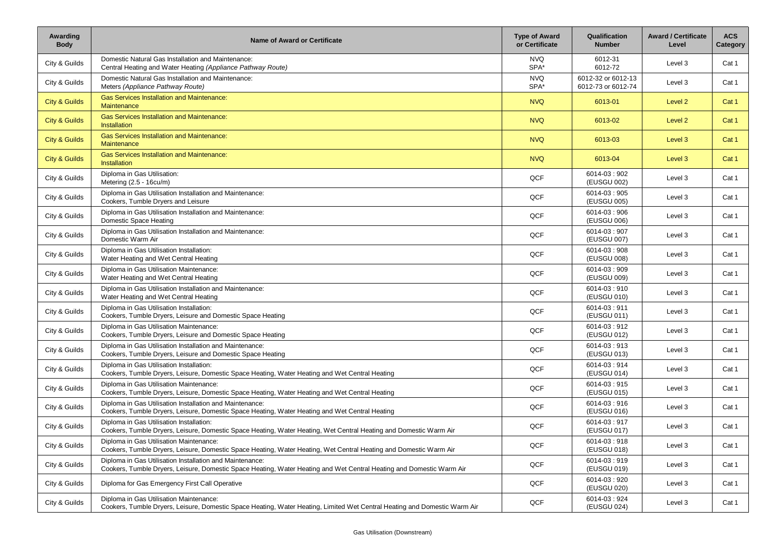| Awarding<br><b>Body</b>  | <b>Name of Award or Certificate</b>                                                                                                                                              | <b>Type of Award</b><br>or Certificate | Qualification<br><b>Number</b>           | <b>Award / Certificate</b><br>Level | <b>ACS</b><br>Category |
|--------------------------|----------------------------------------------------------------------------------------------------------------------------------------------------------------------------------|----------------------------------------|------------------------------------------|-------------------------------------|------------------------|
| City & Guilds            | Domestic Natural Gas Installation and Maintenance:<br>Central Heating and Water Heating (Appliance Pathway Route)                                                                | <b>NVQ</b><br>SPA*                     | 6012-31<br>6012-72                       | Level 3                             | Cat 1                  |
| City & Guilds            | Domestic Natural Gas Installation and Maintenance:<br>Meters (Appliance Pathway Route)                                                                                           | <b>NVQ</b><br>SPA*                     | 6012-32 or 6012-13<br>6012-73 or 6012-74 | Level 3                             | Cat 1                  |
| <b>City &amp; Guilds</b> | <b>Gas Services Installation and Maintenance:</b><br>Maintenance                                                                                                                 | <b>NVQ</b>                             | 6013-01                                  | Level 2                             | Cat 1                  |
| <b>City &amp; Guilds</b> | <b>Gas Services Installation and Maintenance:</b><br><b>Installation</b>                                                                                                         | <b>NVQ</b>                             | 6013-02                                  | Level 2                             | Cat 1                  |
| <b>City &amp; Guilds</b> | <b>Gas Services Installation and Maintenance:</b><br><b>Maintenance</b>                                                                                                          | <b>NVQ</b>                             | 6013-03                                  | Level 3                             | Cat 1                  |
| <b>City &amp; Guilds</b> | <b>Gas Services Installation and Maintenance:</b><br><b>Installation</b>                                                                                                         | <b>NVQ</b>                             | 6013-04                                  | Level 3                             | Cat 1                  |
| City & Guilds            | Diploma in Gas Utilisation:<br>Metering (2.5 - 16cu/m)                                                                                                                           | QCF                                    | 6014-03:902<br>(EUSGU 002)               | Level 3                             | Cat 1                  |
| City & Guilds            | Diploma in Gas Utilisation Installation and Maintenance:<br>Cookers, Tumble Dryers and Leisure                                                                                   | QCF                                    | 6014-03:905<br>(EUSGU 005)               | Level 3                             | Cat 1                  |
| City & Guilds            | Diploma in Gas Utilisation Installation and Maintenance:<br>Domestic Space Heating                                                                                               | QCF                                    | 6014-03:906<br>(EUSGU 006)               | Level 3                             | Cat 1                  |
| City & Guilds            | Diploma in Gas Utilisation Installation and Maintenance:<br>Domestic Warm Air                                                                                                    | QCF                                    | 6014-03:907<br>(EUSGU 007)               | Level 3                             | Cat 1                  |
| City & Guilds            | Diploma in Gas Utilisation Installation:<br>Water Heating and Wet Central Heating                                                                                                | QCF                                    | 6014-03:908<br>(EUSGU 008)               | Level 3                             | Cat 1                  |
| City & Guilds            | Diploma in Gas Utilisation Maintenance:<br>Water Heating and Wet Central Heating                                                                                                 | QCF                                    | 6014-03:909<br>(EUSGU 009)               | Level 3                             | Cat 1                  |
| City & Guilds            | Diploma in Gas Utilisation Installation and Maintenance:<br>Water Heating and Wet Central Heating                                                                                | QCF                                    | 6014-03:910<br>(EUSGU 010)               | Level 3                             | Cat 1                  |
| City & Guilds            | Diploma in Gas Utilisation Installation:<br>Cookers, Tumble Dryers, Leisure and Domestic Space Heating                                                                           | QCF                                    | 6014-03:911<br>(EUSGU 011)               | Level 3                             | Cat 1                  |
| City & Guilds            | Diploma in Gas Utilisation Maintenance:<br>Cookers, Tumble Dryers, Leisure and Domestic Space Heating                                                                            | QCF                                    | 6014-03:912<br>(EUSGU 012)               | Level 3                             | Cat 1                  |
| City & Guilds            | Diploma in Gas Utilisation Installation and Maintenance:<br>Cookers, Tumble Dryers, Leisure and Domestic Space Heating                                                           | QCF                                    | 6014-03:913<br>(EUSGU 013)               | Level 3                             | Cat 1                  |
| City & Guilds            | Diploma in Gas Utilisation Installation:<br>Cookers, Tumble Dryers, Leisure, Domestic Space Heating, Water Heating and Wet Central Heating                                       | QCF                                    | 6014-03:914<br>(EUSGU 014)               | Level 3                             | Cat 1                  |
| City & Guilds            | Diploma in Gas Utilisation Maintenance:<br>Cookers, Tumble Dryers, Leisure, Domestic Space Heating, Water Heating and Wet Central Heating                                        | QCF                                    | 6014-03:915<br>(EUSGU 015)               | Level 3                             | Cat 1                  |
| City & Guilds            | Diploma in Gas Utilisation Installation and Maintenance:<br>Cookers, Tumble Dryers, Leisure, Domestic Space Heating, Water Heating and Wet Central Heating                       | QCF                                    | 6014-03:916<br>(EUSGU 016)               | Level 3                             | Cat 1                  |
| City & Guilds            | Diploma in Gas Utilisation Installation:<br>Cookers, Tumble Dryers, Leisure, Domestic Space Heating, Water Heating, Wet Central Heating and Domestic Warm Air                    | QCF                                    | 6014-03:917<br>(EUSGU 017)               | Level 3                             | Cat 1                  |
| City & Guilds            | Diploma in Gas Utilisation Maintenance:<br>Cookers, Tumble Dryers, Leisure, Domestic Space Heating, Water Heating, Wet Central Heating and Domestic Warm Air                     | QCF                                    | 6014-03:918<br>(EUSGU 018)               | Level 3                             | Cat 1                  |
| City & Guilds            | Diploma in Gas Utilisation Installation and Maintenance:<br>Cookers, Tumble Dryers, Leisure, Domestic Space Heating, Water Heating and Wet Central Heating and Domestic Warm Air | QCF                                    | 6014-03:919<br>(EUSGU 019)               | Level 3                             | Cat 1                  |
| City & Guilds            | Diploma for Gas Emergency First Call Operative                                                                                                                                   | QCF                                    | 6014-03:920<br>(EUSGU 020)               | Level 3                             | Cat 1                  |
| City & Guilds            | Diploma in Gas Utilisation Maintenance:<br>Cookers, Tumble Dryers, Leisure, Domestic Space Heating, Water Heating, Limited Wet Central Heating and Domestic Warm Air             | QCF                                    | 6014-03:924<br>(EUSGU 024)               | Level 3                             | Cat 1                  |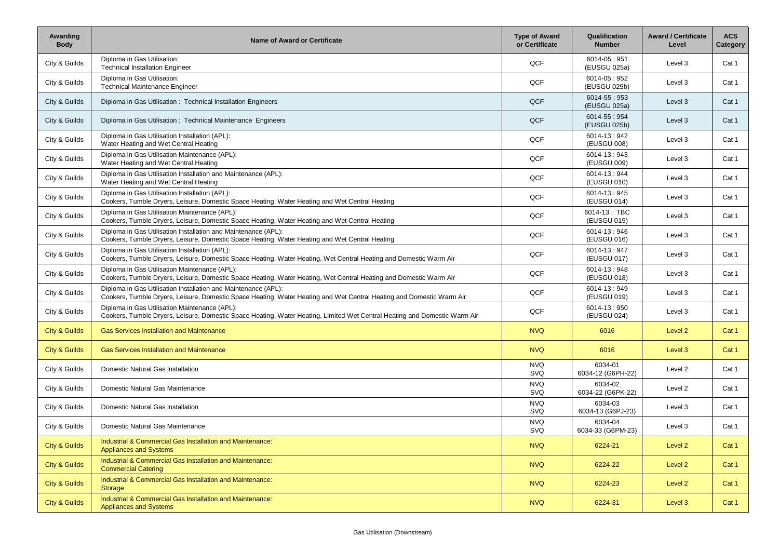| Awarding<br><b>Body</b>  | <b>Name of Award or Certificate</b>                                                                                                                                                    | <b>Type of Award</b><br>or Certificate | Qualification<br><b>Number</b> | <b>Award / Certificate</b><br>Level | <b>ACS</b><br>Category |
|--------------------------|----------------------------------------------------------------------------------------------------------------------------------------------------------------------------------------|----------------------------------------|--------------------------------|-------------------------------------|------------------------|
| City & Guilds            | Diploma in Gas Utilisation:<br><b>Technical Installation Engineer</b>                                                                                                                  | QCF                                    | 6014-05:951<br>(EUSGU 025a)    | Level 3                             | Cat 1                  |
| City & Guilds            | Diploma in Gas Utilisation:<br><b>Technical Maintenance Engineer</b>                                                                                                                   | QCF                                    | 6014-05:952<br>(EUSGU 025b)    | Level 3                             | Cat 1                  |
| City & Guilds            | Diploma in Gas Utilisation: Technical Installation Engineers                                                                                                                           | QCF                                    | 6014-55:953<br>(EUSGU 025a)    | Level 3                             | Cat 1                  |
| City & Guilds            | Diploma in Gas Utilisation: Technical Maintenance Engineers                                                                                                                            | QCF                                    | 6014-55:954<br>(EUSGU 025b)    | Level 3                             | Cat 1                  |
| City & Guilds            | Diploma in Gas Utilisation Installation (APL):<br>Water Heating and Wet Central Heating                                                                                                | QCF                                    | 6014-13:942<br>(EUSGU 008)     | Level 3                             | Cat 1                  |
| City & Guilds            | Diploma in Gas Utilisation Maintenance (APL):<br>Water Heating and Wet Central Heating                                                                                                 | QCF                                    | 6014-13:943<br>(EUSGU 009)     | Level 3                             | Cat 1                  |
| City & Guilds            | Diploma in Gas Utilisation Installation and Maintenance (APL):<br>Water Heating and Wet Central Heating                                                                                | QCF                                    | 6014-13:944<br>(EUSGU 010)     | Level 3                             | Cat 1                  |
| City & Guilds            | Diploma in Gas Utilisation Installation (APL):<br>Cookers, Tumble Dryers, Leisure, Domestic Space Heating, Water Heating and Wet Central Heating                                       | QCF                                    | 6014-13:945<br>(EUSGU 014)     | Level 3                             | Cat 1                  |
| City & Guilds            | Diploma in Gas Utilisation Maintenance (APL):<br>Cookers, Tumble Dryers, Leisure, Domestic Space Heating, Water Heating and Wet Central Heating                                        | QCF                                    | 6014-13: TBC<br>(EUSGU 015)    | Level 3                             | Cat 1                  |
| City & Guilds            | Diploma in Gas Utilisation Installation and Maintenance (APL):<br>Cookers, Tumble Dryers, Leisure, Domestic Space Heating, Water Heating and Wet Central Heating                       | QCF                                    | 6014-13:946<br>(EUSGU 016)     | Level 3                             | Cat 1                  |
| City & Guilds            | Diploma in Gas Utilisation Installation (APL):<br>Cookers, Tumble Dryers, Leisure, Domestic Space Heating, Water Heating, Wet Central Heating and Domestic Warm Air                    | QCF                                    | 6014-13:947<br>(EUSGU 017)     | Level 3                             | Cat 1                  |
| City & Guilds            | Diploma in Gas Utilisation Maintenance (APL):<br>Cookers, Tumble Dryers, Leisure, Domestic Space Heating, Water Heating, Wet Central Heating and Domestic Warm Air                     | QCF                                    | 6014-13:948<br>(EUSGU 018)     | Level 3                             | Cat 1                  |
| City & Guilds            | Diploma in Gas Utilisation Installation and Maintenance (APL):<br>Cookers, Tumble Dryers, Leisure, Domestic Space Heating, Water Heating and Wet Central Heating and Domestic Warm Air | QCF                                    | 6014-13:949<br>(EUSGU 019)     | Level 3                             | Cat 1                  |
| City & Guilds            | Diploma in Gas Utilisation Maintenance (APL):<br>Cookers, Tumble Dryers, Leisure, Domestic Space Heating, Water Heating, Limited Wet Central Heating and Domestic Warm Air             | QCF                                    | 6014-13:950<br>(EUSGU 024)     | Level 3                             | Cat 1                  |
| <b>City &amp; Guilds</b> | <b>Gas Services Installation and Maintenance</b>                                                                                                                                       | <b>NVQ</b>                             | 6016                           | Level 2                             | Cat 1                  |
| <b>City &amp; Guilds</b> | <b>Gas Services Installation and Maintenance</b>                                                                                                                                       | <b>NVQ</b>                             | 6016                           | Level 3                             | Cat 1                  |
| City & Guilds            | Domestic Natural Gas Installation                                                                                                                                                      | <b>NVQ</b><br>SVQ                      | 6034-01<br>6034-12 (G6PH-22)   | Level 2                             | Cat 1                  |
| City & Guilds            | Domestic Natural Gas Maintenance                                                                                                                                                       | <b>NVQ</b><br>SVQ                      | 6034-02<br>6034-22 (G6PK-22)   | Level 2                             | Cat 1                  |
| City & Guilds            | Domestic Natural Gas Installation                                                                                                                                                      | <b>NVQ</b><br>SVQ                      | 6034-03<br>6034-13 (G6PJ-23)   | Level 3                             | Cat 1                  |
| City & Guilds            | Domestic Natural Gas Maintenance                                                                                                                                                       | <b>NVQ</b><br>SVQ                      | 6034-04<br>6034-33 (G6PM-23)   | Level 3                             | Cat 1                  |
| <b>City &amp; Guilds</b> | Industrial & Commercial Gas Installation and Maintenance:<br><b>Appliances and Systems</b>                                                                                             | <b>NVQ</b>                             | 6224-21                        | Level 2                             | Cat 1                  |
| <b>City &amp; Guilds</b> | Industrial & Commercial Gas Installation and Maintenance:<br><b>Commercial Catering</b>                                                                                                | <b>NVQ</b>                             | 6224-22                        | Level 2                             | Cat 1                  |
| <b>City &amp; Guilds</b> | Industrial & Commercial Gas Installation and Maintenance:<br>Storage                                                                                                                   | <b>NVQ</b>                             | 6224-23                        | Level 2                             | Cat 1                  |
| <b>City &amp; Guilds</b> | Industrial & Commercial Gas Installation and Maintenance:<br><b>Appliances and Systems</b>                                                                                             | <b>NVQ</b>                             | 6224-31                        | Level 3                             | Cat 1                  |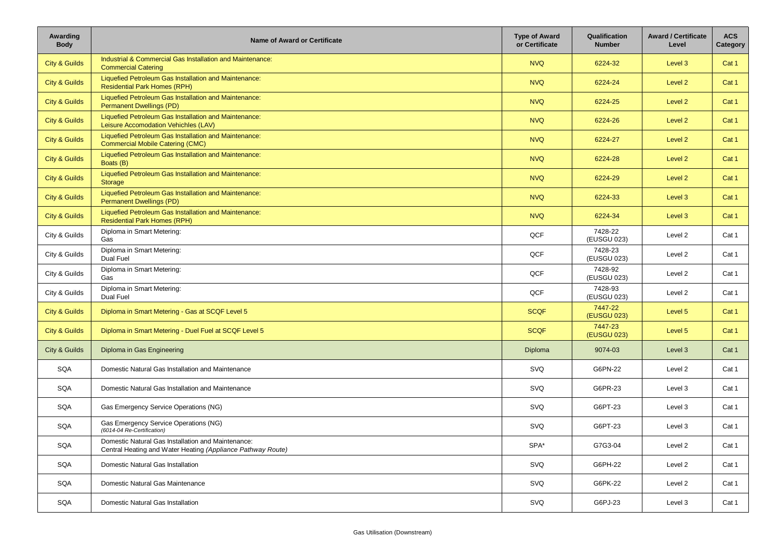| Awarding<br><b>Body</b>  | <b>Name of Award or Certificate</b>                                                                               | <b>Type of Award</b><br>or Certificate | Qualification<br><b>Number</b> | <b>Award / Certificate</b><br>Level | <b>ACS</b><br>Category |
|--------------------------|-------------------------------------------------------------------------------------------------------------------|----------------------------------------|--------------------------------|-------------------------------------|------------------------|
| <b>City &amp; Guilds</b> | Industrial & Commercial Gas Installation and Maintenance:<br><b>Commercial Catering</b>                           | <b>NVQ</b>                             | 6224-32                        | Level 3                             | Cat 1                  |
| <b>City &amp; Guilds</b> | Liquefied Petroleum Gas Installation and Maintenance:<br><b>Residential Park Homes (RPH)</b>                      | <b>NVQ</b>                             | 6224-24                        | Level 2                             | Cat 1                  |
| <b>City &amp; Guilds</b> | Liquefied Petroleum Gas Installation and Maintenance:<br><b>Permanent Dwellings (PD)</b>                          | <b>NVQ</b>                             | 6224-25                        | Level 2                             | Cat 1                  |
| <b>City &amp; Guilds</b> | Liquefied Petroleum Gas Installation and Maintenance:<br>Leisure Accomodation Vehichles (LAV)                     | <b>NVQ</b>                             | 6224-26                        | Level 2                             | Cat 1                  |
| <b>City &amp; Guilds</b> | Liquefied Petroleum Gas Installation and Maintenance:<br><b>Commercial Mobile Catering (CMC)</b>                  | <b>NVQ</b>                             | 6224-27                        | Level 2                             | Cat 1                  |
| <b>City &amp; Guilds</b> | Liquefied Petroleum Gas Installation and Maintenance:<br>Boats (B)                                                | <b>NVQ</b>                             | 6224-28                        | Level 2                             | Cat 1                  |
| <b>City &amp; Guilds</b> | Liquefied Petroleum Gas Installation and Maintenance:<br>Storage                                                  | <b>NVQ</b>                             | 6224-29                        | Level 2                             | Cat 1                  |
| <b>City &amp; Guilds</b> | Liquefied Petroleum Gas Installation and Maintenance:<br><b>Permanent Dwellings (PD)</b>                          | <b>NVQ</b>                             | 6224-33                        | Level 3                             | Cat 1                  |
| <b>City &amp; Guilds</b> | Liquefied Petroleum Gas Installation and Maintenance:<br><b>Residential Park Homes (RPH)</b>                      | <b>NVQ</b>                             | 6224-34                        | Level 3                             | Cat 1                  |
| City & Guilds            | Diploma in Smart Metering:<br>Gas                                                                                 | QCF                                    | 7428-22<br>(EUSGU 023)         | Level 2                             | Cat 1                  |
| City & Guilds            | Diploma in Smart Metering:<br>Dual Fuel                                                                           | QCF                                    | 7428-23<br>(EUSGU 023)         | Level 2                             | Cat 1                  |
| City & Guilds            | Diploma in Smart Metering:<br>Gas                                                                                 | QCF                                    | 7428-92<br>(EUSGU 023)         | Level 2                             | Cat 1                  |
| City & Guilds            | Diploma in Smart Metering:<br>Dual Fuel                                                                           | QCF                                    | 7428-93<br>(EUSGU 023)         | Level 2                             | Cat 1                  |
| <b>City &amp; Guilds</b> | Diploma in Smart Metering - Gas at SCQF Level 5                                                                   | <b>SCQF</b>                            | 7447-22<br>(EUSGU 023)         | Level 5                             | Cat 1                  |
| <b>City &amp; Guilds</b> | Diploma in Smart Metering - Duel Fuel at SCQF Level 5                                                             | <b>SCQF</b>                            | 7447-23<br>(EUSGU 023)         | Level 5                             | Cat 1                  |
| City & Guilds            | Diploma in Gas Engineering                                                                                        | <b>Diploma</b>                         | 9074-03                        | Level 3                             | Cat 1                  |
| SQA                      | Domestic Natural Gas Installation and Maintenance                                                                 | <b>SVQ</b>                             | G6PN-22                        | Level 2                             | Cat 1                  |
| SQA                      | Domestic Natural Gas Installation and Maintenance                                                                 | <b>SVQ</b>                             | G6PR-23                        | Level 3                             | Cat 1                  |
| SQA                      | Gas Emergency Service Operations (NG)                                                                             | <b>SVQ</b>                             | G6PT-23                        | Level 3                             | Cat 1                  |
| SQA                      | Gas Emergency Service Operations (NG)<br>(6014-04 Re-Certification)                                               | <b>SVQ</b>                             | G6PT-23                        | Level 3                             | Cat 1                  |
| SQA                      | Domestic Natural Gas Installation and Maintenance:<br>Central Heating and Water Heating (Appliance Pathway Route) | $SPA^*$                                | G7G3-04                        | Level 2                             | Cat 1                  |
| SQA                      | Domestic Natural Gas Installation                                                                                 | SVQ                                    | G6PH-22                        | Level 2                             | Cat 1                  |
| SQA                      | Domestic Natural Gas Maintenance                                                                                  | SVQ                                    | G6PK-22                        | Level 2                             | Cat 1                  |
| SQA                      | Domestic Natural Gas Installation                                                                                 | SVQ                                    | G6PJ-23                        | Level 3                             | Cat 1                  |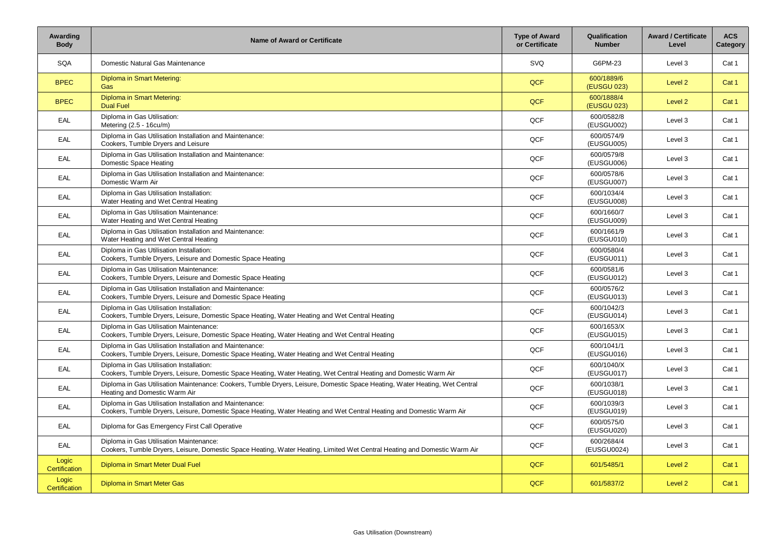| Awarding<br><b>Body</b> | <b>Name of Award or Certificate</b>                                                                                                                                              | <b>Type of Award</b><br>or Certificate | Qualification<br><b>Number</b> | <b>Award / Certificate</b><br>Level | <b>ACS</b><br>Category |
|-------------------------|----------------------------------------------------------------------------------------------------------------------------------------------------------------------------------|----------------------------------------|--------------------------------|-------------------------------------|------------------------|
| SQA                     | Domestic Natural Gas Maintenance                                                                                                                                                 | SVQ                                    | G6PM-23                        | Level 3                             | Cat 1                  |
| <b>BPEC</b>             | Diploma in Smart Metering:<br>Gas                                                                                                                                                | <b>QCF</b>                             | 600/1889/6<br>(EUSGU 023)      | Level 2                             | Cat 1                  |
| <b>BPEC</b>             | Diploma in Smart Metering:<br><b>Dual Fuel</b>                                                                                                                                   | <b>QCF</b>                             | 600/1888/4<br>(EUSGU 023)      | Level 2                             | Cat 1                  |
| EAL                     | Diploma in Gas Utilisation:<br>Metering (2.5 - 16cu/m)                                                                                                                           | QCF                                    | 600/0582/8<br>(EUSGU002)       | Level 3                             | Cat 1                  |
| EAL                     | Diploma in Gas Utilisation Installation and Maintenance:<br>Cookers, Tumble Dryers and Leisure                                                                                   | QCF                                    | 600/0574/9<br>(EUSGU005)       | Level 3                             | Cat 1                  |
| <b>EAL</b>              | Diploma in Gas Utilisation Installation and Maintenance:<br>Domestic Space Heating                                                                                               | QCF                                    | 600/0579/8<br>(EUSGU006)       | Level 3                             | Cat 1                  |
| <b>EAL</b>              | Diploma in Gas Utilisation Installation and Maintenance:<br>Domestic Warm Air                                                                                                    | QCF                                    | 600/0578/6<br>(EUSGU007)       | Level 3                             | Cat 1                  |
| EAL                     | Diploma in Gas Utilisation Installation:<br>Water Heating and Wet Central Heating                                                                                                | QCF                                    | 600/1034/4<br>(EUSGU008)       | Level 3                             | Cat 1                  |
| <b>EAL</b>              | Diploma in Gas Utilisation Maintenance:<br>Water Heating and Wet Central Heating                                                                                                 | QCF                                    | 600/1660/7<br>(EUSGU009)       | Level 3                             | Cat 1                  |
| EAL                     | Diploma in Gas Utilisation Installation and Maintenance:<br>Water Heating and Wet Central Heating                                                                                | QCF                                    | 600/1661/9<br>(EUSGU010)       | Level 3                             | Cat 1                  |
| EAL                     | Diploma in Gas Utilisation Installation:<br>Cookers, Tumble Dryers, Leisure and Domestic Space Heating                                                                           | QCF                                    | 600/0580/4<br>(EUSGU011)       | Level 3                             | Cat 1                  |
| <b>EAL</b>              | Diploma in Gas Utilisation Maintenance:<br>Cookers, Tumble Dryers, Leisure and Domestic Space Heating                                                                            | QCF                                    | 600/0581/6<br>(EUSGU012)       | Level 3                             | Cat 1                  |
| <b>EAL</b>              | Diploma in Gas Utilisation Installation and Maintenance:<br>Cookers, Tumble Dryers, Leisure and Domestic Space Heating                                                           | QCF                                    | 600/0576/2<br>(EUSGU013)       | Level 3                             | Cat 1                  |
| EAL                     | Diploma in Gas Utilisation Installation:<br>Cookers, Tumble Dryers, Leisure, Domestic Space Heating, Water Heating and Wet Central Heating                                       | QCF                                    | 600/1042/3<br>(EUSGU014)       | Level 3                             | Cat 1                  |
| EAL                     | Diploma in Gas Utilisation Maintenance:<br>Cookers, Tumble Dryers, Leisure, Domestic Space Heating, Water Heating and Wet Central Heating                                        | QCF                                    | 600/1653/X<br>(EUSGU015)       | Level 3                             | Cat 1                  |
| <b>EAL</b>              | Diploma in Gas Utilisation Installation and Maintenance:<br>Cookers, Tumble Dryers, Leisure, Domestic Space Heating, Water Heating and Wet Central Heating                       | QCF                                    | 600/1041/1<br>(EUSGU016)       | Level 3                             | Cat 1                  |
| EAL                     | Diploma in Gas Utilisation Installation:<br>Cookers, Tumble Dryers, Leisure, Domestic Space Heating, Water Heating, Wet Central Heating and Domestic Warm Air                    | QCF                                    | 600/1040/X<br>(EUSGU017)       | Level 3                             | Cat 1                  |
| EAL                     | Diploma in Gas Utilisation Maintenance: Cookers, Tumble Dryers, Leisure, Domestic Space Heating, Water Heating, Wet Central<br>Heating and Domestic Warm Air                     | QCF                                    | 600/1038/1<br>(EUSGU018)       | Level 3                             | Cat 1                  |
| EAL                     | Diploma in Gas Utilisation Installation and Maintenance:<br>Cookers, Tumble Dryers, Leisure, Domestic Space Heating, Water Heating and Wet Central Heating and Domestic Warm Air | QCF                                    | 600/1039/3<br>(EUSGU019)       | Level 3                             | Cat 1                  |
| EAL                     | Diploma for Gas Emergency First Call Operative                                                                                                                                   | QCF                                    | 600/0575/0<br>(EUSGU020)       | Level 3                             | Cat 1                  |
| EAL                     | Diploma in Gas Utilisation Maintenance:<br>Cookers, Tumble Dryers, Leisure, Domestic Space Heating, Water Heating, Limited Wet Central Heating and Domestic Warm Air             | QCF                                    | 600/2684/4<br>(EUSGU0024)      | Level 3                             | Cat 1                  |
| Logic<br>Certification  | Diploma in Smart Meter Dual Fuel                                                                                                                                                 | QCF                                    | 601/5485/1                     | Level 2                             | Cat 1                  |
| Logic<br>Certification  | Diploma in Smart Meter Gas                                                                                                                                                       | QCF                                    | 601/5837/2                     | Level 2                             | Cat 1                  |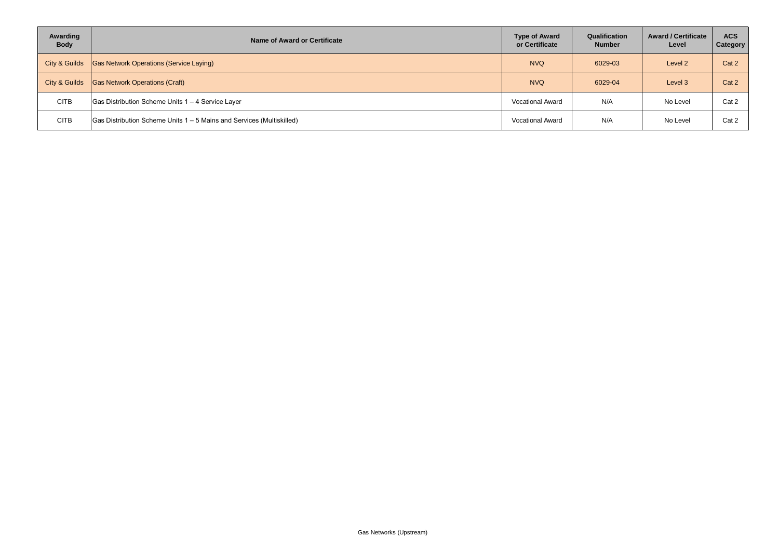| Awarding<br><b>Body</b> | Name of Award or Certificate                                                  | <b>Type of Award</b><br>or Certificate | Qualification<br><b>Number</b> | <b>Award / Certificate</b><br>Level | <b>ACS</b><br>Category |
|-------------------------|-------------------------------------------------------------------------------|----------------------------------------|--------------------------------|-------------------------------------|------------------------|
| City & Guilds           | <b>Gas Network Operations (Service Laying)</b>                                | <b>NVQ</b>                             | 6029-03                        | Level 2                             | Cat 2                  |
| City & Guilds           | <b>Gas Network Operations (Craft)</b>                                         | <b>NVQ</b>                             | 6029-04                        | Level 3                             | Cat 2                  |
| <b>CITB</b>             | Gas Distribution Scheme Units 1 - 4 Service Layer                             | <b>Vocational Award</b>                | N/A                            | No Level                            | Cat 2                  |
| <b>CITB</b>             | $\vert$ Gas Distribution Scheme Units 1 – 5 Mains and Services (Multiskilled) | <b>Vocational Award</b>                | N/A                            | No Level                            | Cat 2                  |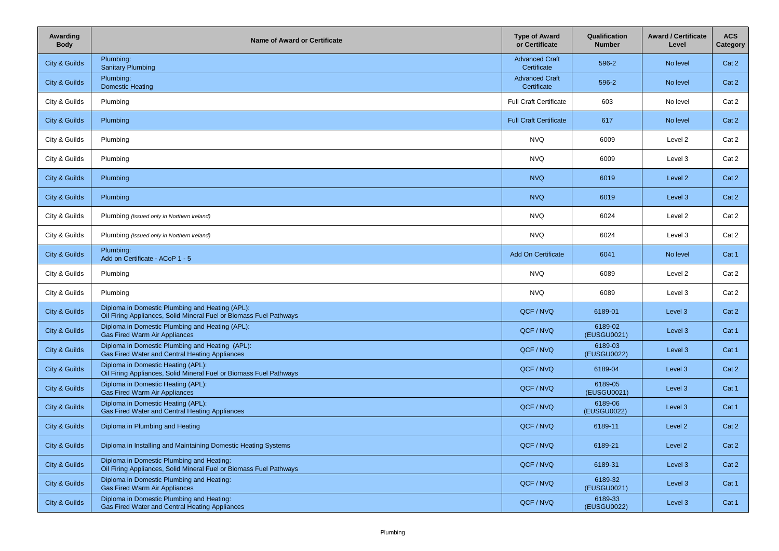| Awarding<br><b>Body</b> | <b>Name of Award or Certificate</b>                                                                                   | <b>Type of Award</b><br>or Certificate | Qualification<br><b>Number</b> | <b>Award / Certificate</b><br>Level | <b>ACS</b><br>Category |
|-------------------------|-----------------------------------------------------------------------------------------------------------------------|----------------------------------------|--------------------------------|-------------------------------------|------------------------|
| City & Guilds           | Plumbing:<br><b>Sanitary Plumbing</b>                                                                                 | <b>Advanced Craft</b><br>Certificate   | 596-2                          | No level                            | Cat 2                  |
| City & Guilds           | Plumbing:<br><b>Domestic Heating</b>                                                                                  | <b>Advanced Craft</b><br>Certificate   | 596-2                          | No level                            | Cat 2                  |
| City & Guilds           | Plumbing                                                                                                              | <b>Full Craft Certificate</b>          | 603                            | No level                            | Cat 2                  |
| City & Guilds           | Plumbing                                                                                                              | <b>Full Craft Certificate</b>          | 617                            | No level                            | Cat 2                  |
| City & Guilds           | Plumbing                                                                                                              | <b>NVQ</b>                             | 6009                           | Level 2                             | Cat 2                  |
| City & Guilds           | Plumbing                                                                                                              | <b>NVQ</b>                             | 6009                           | Level 3                             | Cat 2                  |
| City & Guilds           | Plumbing                                                                                                              | <b>NVQ</b>                             | 6019                           | Level 2                             | Cat 2                  |
| City & Guilds           | Plumbing                                                                                                              | <b>NVQ</b>                             | 6019                           | Level 3                             | Cat 2                  |
| City & Guilds           | Plumbing (Issued only in Northern Ireland)                                                                            | <b>NVQ</b>                             | 6024                           | Level 2                             | Cat 2                  |
| City & Guilds           | Plumbing (Issued only in Northern Ireland)                                                                            | <b>NVQ</b>                             | 6024                           | Level 3                             | Cat 2                  |
| City & Guilds           | Plumbing:<br>Add on Certificate - ACoP 1 - 5                                                                          | Add On Certificate                     | 6041                           | No level                            | Cat 1                  |
| City & Guilds           | Plumbing                                                                                                              | <b>NVQ</b>                             | 6089                           | Level 2                             | Cat 2                  |
| City & Guilds           | Plumbing                                                                                                              | <b>NVQ</b>                             | 6089                           | Level 3                             | Cat 2                  |
| City & Guilds           | Diploma in Domestic Plumbing and Heating (APL):<br>Oil Firing Appliances, Solid Mineral Fuel or Biomass Fuel Pathways | QCF / NVQ                              | 6189-01                        | Level 3                             | Cat 2                  |
| City & Guilds           | Diploma in Domestic Plumbing and Heating (APL):<br><b>Gas Fired Warm Air Appliances</b>                               | QCF / NVQ                              | 6189-02<br>(EUSGU0021)         | Level 3                             | Cat 1                  |
| City & Guilds           | Diploma in Domestic Plumbing and Heating (APL):<br>Gas Fired Water and Central Heating Appliances                     | QCF / NVQ                              | 6189-03<br>(EUSGU0022)         | Level 3                             | Cat 1                  |
| City & Guilds           | Diploma in Domestic Heating (APL):<br>Oil Firing Appliances, Solid Mineral Fuel or Biomass Fuel Pathways              | QCF / NVQ                              | 6189-04                        | Level 3                             | Cat 2                  |
| City & Guilds           | Diploma in Domestic Heating (APL):<br>Gas Fired Warm Air Appliances                                                   | QCF / NVQ                              | 6189-05<br>(EUSGU0021)         | Level 3                             | Cat 1                  |
| City & Guilds           | Diploma in Domestic Heating (APL):<br>Gas Fired Water and Central Heating Appliances                                  | QCF / NVQ                              | 6189-06<br>(EUSGU0022)         | Level 3                             | Cat 1                  |
| City & Guilds           | Diploma in Plumbing and Heating                                                                                       | QCF / NVQ                              | 6189-11                        | Level 2                             | Cat 2                  |
| City & Guilds           | Diploma in Installing and Maintaining Domestic Heating Systems                                                        | QCF / NVQ                              | 6189-21                        | Level 2                             | Cat 2                  |
| City & Guilds           | Diploma in Domestic Plumbing and Heating:<br>Oil Firing Appliances, Solid Mineral Fuel or Biomass Fuel Pathways       | QCF / NVQ                              | 6189-31                        | Level 3                             | Cat 2                  |
| City & Guilds           | Diploma in Domestic Plumbing and Heating:<br>Gas Fired Warm Air Appliances                                            | QCF / NVQ                              | 6189-32<br>(EUSGU0021)         | Level 3                             | Cat 1                  |
| City & Guilds           | Diploma in Domestic Plumbing and Heating:<br>Gas Fired Water and Central Heating Appliances                           | QCF / NVQ                              | 6189-33<br>(EUSGU0022)         | Level 3                             | Cat 1                  |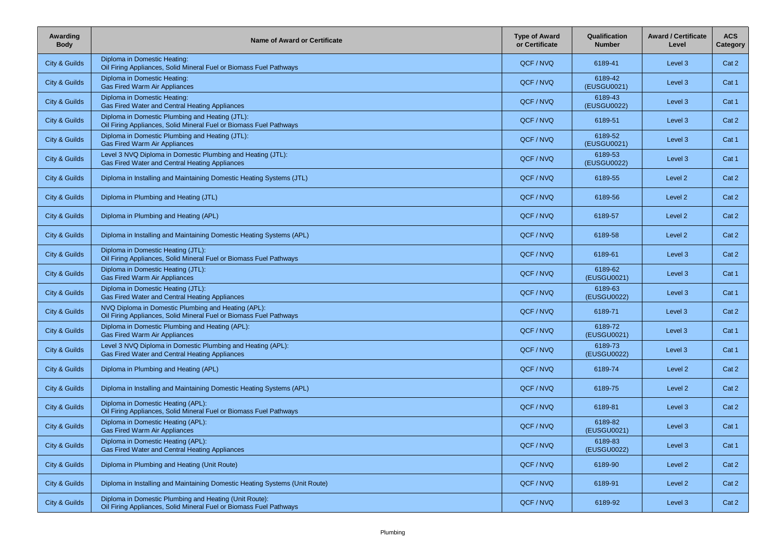| Awarding<br><b>Body</b> | Name of Award or Certificate                                                                                                 | <b>Type of Award</b><br>or Certificate | Qualification<br><b>Number</b> | <b>Award / Certificate</b><br>Level | <b>ACS</b><br>Category |
|-------------------------|------------------------------------------------------------------------------------------------------------------------------|----------------------------------------|--------------------------------|-------------------------------------|------------------------|
| City & Guilds           | Diploma in Domestic Heating:<br>Oil Firing Appliances, Solid Mineral Fuel or Biomass Fuel Pathways                           | QCF / NVQ                              | 6189-41                        | Level 3                             | Cat 2                  |
| City & Guilds           | Diploma in Domestic Heating:<br>Gas Fired Warm Air Appliances                                                                | QCF / NVQ                              | 6189-42<br>(EUSGU0021)         | Level 3                             | Cat 1                  |
| City & Guilds           | Diploma in Domestic Heating:<br>Gas Fired Water and Central Heating Appliances                                               | QCF / NVQ                              | 6189-43<br>(EUSGU0022)         | Level 3                             | Cat 1                  |
| City & Guilds           | Diploma in Domestic Plumbing and Heating (JTL):<br>Oil Firing Appliances, Solid Mineral Fuel or Biomass Fuel Pathways        | QCF/NVQ                                | 6189-51                        | Level 3                             | Cat 2                  |
| City & Guilds           | Diploma in Domestic Plumbing and Heating (JTL):<br>Gas Fired Warm Air Appliances                                             | QCF / NVQ                              | 6189-52<br>(EUSGU0021)         | Level 3                             | Cat 1                  |
| City & Guilds           | Level 3 NVQ Diploma in Domestic Plumbing and Heating (JTL):<br>Gas Fired Water and Central Heating Appliances                | QCF / NVQ                              | 6189-53<br>(EUSGU0022)         | Level 3                             | Cat 1                  |
| City & Guilds           | Diploma in Installing and Maintaining Domestic Heating Systems (JTL)                                                         | QCF / NVQ                              | 6189-55                        | Level 2                             | Cat 2                  |
| City & Guilds           | Diploma in Plumbing and Heating (JTL)                                                                                        | QCF/NVQ                                | 6189-56                        | Level 2                             | Cat 2                  |
| City & Guilds           | Diploma in Plumbing and Heating (APL)                                                                                        | QCF / NVQ                              | 6189-57                        | Level 2                             | Cat 2                  |
| City & Guilds           | Diploma in Installing and Maintaining Domestic Heating Systems (APL)                                                         | QCF/NVQ                                | 6189-58                        | Level 2                             | Cat 2                  |
| City & Guilds           | Diploma in Domestic Heating (JTL):<br>Oil Firing Appliances, Solid Mineral Fuel or Biomass Fuel Pathways                     | QCF/NVQ                                | 6189-61                        | Level 3                             | Cat 2                  |
| City & Guilds           | Diploma in Domestic Heating (JTL):<br>Gas Fired Warm Air Appliances                                                          | QCF / NVQ                              | 6189-62<br>(EUSGU0021)         | Level 3                             | Cat 1                  |
| City & Guilds           | Diploma in Domestic Heating (JTL):<br>Gas Fired Water and Central Heating Appliances                                         | QCF / NVQ                              | 6189-63<br>(EUSGU0022)         | Level 3                             | Cat 1                  |
| City & Guilds           | NVQ Diploma in Domestic Plumbing and Heating (APL):<br>Oil Firing Appliances, Solid Mineral Fuel or Biomass Fuel Pathways    | QCF / NVQ                              | 6189-71                        | Level 3                             | Cat 2                  |
| City & Guilds           | Diploma in Domestic Plumbing and Heating (APL):<br>Gas Fired Warm Air Appliances                                             | QCF / NVQ                              | 6189-72<br>(EUSGU0021)         | Level 3                             | Cat 1                  |
| City & Guilds           | Level 3 NVQ Diploma in Domestic Plumbing and Heating (APL):<br>Gas Fired Water and Central Heating Appliances                | QCF/NVQ                                | 6189-73<br>(EUSGU0022)         | Level 3                             | Cat 1                  |
| City & Guilds           | Diploma in Plumbing and Heating (APL)                                                                                        | QCF/NVQ                                | 6189-74                        | Level 2                             | Cat 2                  |
| City & Guilds           | Diploma in Installing and Maintaining Domestic Heating Systems (APL)                                                         | QCF / NVQ                              | 6189-75                        | Level 2                             | Cat 2                  |
| City & Guilds           | Diploma in Domestic Heating (APL):<br>Oil Firing Appliances, Solid Mineral Fuel or Biomass Fuel Pathways                     | QCF/NVQ                                | 6189-81                        | Level 3                             | Cat 2                  |
| City & Guilds           | Diploma in Domestic Heating (APL):<br><b>Gas Fired Warm Air Appliances</b>                                                   | QCF/NVQ                                | 6189-82<br>(EUSGU0021)         | Level 3                             | Cat 1                  |
| City & Guilds           | Diploma in Domestic Heating (APL):<br>Gas Fired Water and Central Heating Appliances                                         | QCF / NVQ                              | 6189-83<br>(EUSGU0022)         | Level 3                             | Cat 1                  |
| City & Guilds           | Diploma in Plumbing and Heating (Unit Route)                                                                                 | QCF / NVQ                              | 6189-90                        | Level 2                             | Cat 2                  |
| City & Guilds           | Diploma in Installing and Maintaining Domestic Heating Systems (Unit Route)                                                  | QCF / NVQ                              | 6189-91                        | Level 2                             | Cat 2                  |
| City & Guilds           | Diploma in Domestic Plumbing and Heating (Unit Route):<br>Oil Firing Appliances, Solid Mineral Fuel or Biomass Fuel Pathways | QCF / NVQ                              | 6189-92                        | Level 3                             | Cat 2                  |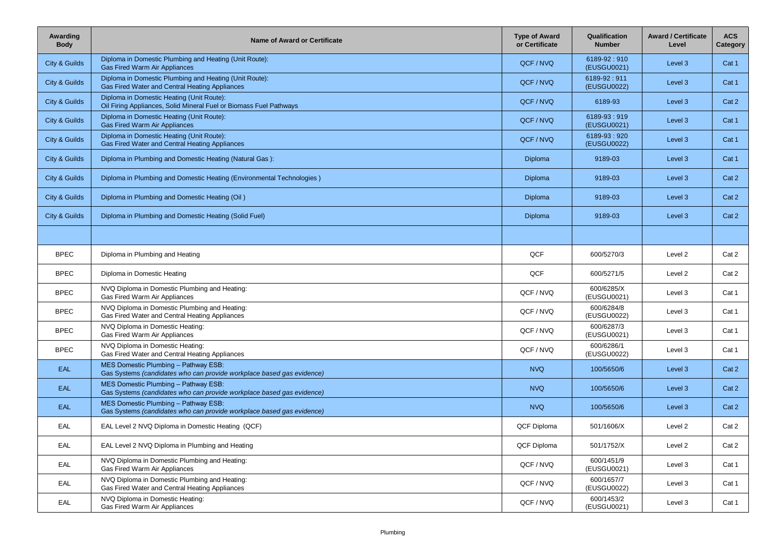| Awarding<br><b>Body</b> | <b>Name of Award or Certificate</b>                                                                             | <b>Type of Award</b><br>or Certificate | Qualification<br><b>Number</b> | <b>Award / Certificate</b><br>Level | <b>ACS</b><br><b>Category</b> |
|-------------------------|-----------------------------------------------------------------------------------------------------------------|----------------------------------------|--------------------------------|-------------------------------------|-------------------------------|
| City & Guilds           | Diploma in Domestic Plumbing and Heating (Unit Route):<br><b>Gas Fired Warm Air Appliances</b>                  | QCF / NVQ                              | 6189-92:910<br>(EUSGU0021)     | Level 3                             | Cat 1                         |
| City & Guilds           | Diploma in Domestic Plumbing and Heating (Unit Route):<br>Gas Fired Water and Central Heating Appliances        | QCF / NVQ                              | 6189-92:911<br>(EUSGU0022)     | Level 3                             | Cat 1                         |
| City & Guilds           | Diploma in Domestic Heating (Unit Route):<br>Oil Firing Appliances, Solid Mineral Fuel or Biomass Fuel Pathways | QCF / NVQ                              | 6189-93                        | Level 3                             | Cat 2                         |
| City & Guilds           | Diploma in Domestic Heating (Unit Route):<br><b>Gas Fired Warm Air Appliances</b>                               | QCF / NVQ                              | 6189-93:919<br>(EUSGU0021)     | Level 3                             | Cat 1                         |
| City & Guilds           | Diploma in Domestic Heating (Unit Route):<br>Gas Fired Water and Central Heating Appliances                     | QCF / NVQ                              | 6189-93:920<br>(EUSGU0022)     | Level 3                             | Cat 1                         |
| City & Guilds           | Diploma in Plumbing and Domestic Heating (Natural Gas):                                                         | Diploma                                | 9189-03                        | Level 3                             | Cat 1                         |
| City & Guilds           | Diploma in Plumbing and Domestic Heating (Environmental Technologies)                                           | Diploma                                | 9189-03                        | Level 3                             | Cat 2                         |
| City & Guilds           | Diploma in Plumbing and Domestic Heating (Oil)                                                                  | Diploma                                | 9189-03                        | Level 3                             | Cat 2                         |
| City & Guilds           | Diploma in Plumbing and Domestic Heating (Solid Fuel)                                                           | Diploma                                | 9189-03                        | Level 3                             | Cat 2                         |
|                         |                                                                                                                 |                                        |                                |                                     |                               |
| <b>BPEC</b>             | Diploma in Plumbing and Heating                                                                                 | QCF                                    | 600/5270/3                     | Level 2                             | Cat 2                         |
| <b>BPEC</b>             | Diploma in Domestic Heating                                                                                     | QCF                                    | 600/5271/5                     | Level 2                             | Cat 2                         |
| <b>BPEC</b>             | NVQ Diploma in Domestic Plumbing and Heating:<br>Gas Fired Warm Air Appliances                                  | QCF / NVQ                              | 600/6285/X<br>(EUSGU0021)      | Level 3                             | Cat 1                         |
| <b>BPEC</b>             | NVQ Diploma in Domestic Plumbing and Heating:<br>Gas Fired Water and Central Heating Appliances                 | QCF / NVQ                              | 600/6284/8<br>(EUSGU0022)      | Level 3                             | Cat 1                         |
| <b>BPEC</b>             | NVQ Diploma in Domestic Heating:<br>Gas Fired Warm Air Appliances                                               | QCF / NVQ                              | 600/6287/3<br>(EUSGU0021)      | Level 3                             | Cat 1                         |
| <b>BPEC</b>             | NVQ Diploma in Domestic Heating:<br>Gas Fired Water and Central Heating Appliances                              | QCF / NVQ                              | 600/6286/1<br>(EUSGU0022)      | Level 3                             | Cat 1                         |
| <b>EAL</b>              | MES Domestic Plumbing - Pathway ESB:<br>Gas Systems (candidates who can provide workplace based gas evidence)   | <b>NVQ</b>                             | 100/5650/6                     | Level 3                             | Cat 2                         |
| <b>EAL</b>              | MES Domestic Plumbing - Pathway ESB:<br>Gas Systems (candidates who can provide workplace based gas evidence)   | <b>NVQ</b>                             | 100/5650/6                     | Level 3                             | Cat 2                         |
| <b>EAL</b>              | MES Domestic Plumbing - Pathway ESB:<br>Gas Systems (candidates who can provide workplace based gas evidence)   | <b>NVQ</b>                             | 100/5650/6                     | Level 3                             | Cat 2                         |
| EAL                     | EAL Level 2 NVQ Diploma in Domestic Heating (QCF)                                                               | QCF Diploma                            | 501/1606/X                     | Level 2                             | Cat 2                         |
| EAL                     | EAL Level 2 NVQ Diploma in Plumbing and Heating                                                                 | QCF Diploma                            | 501/1752/X                     | Level 2                             | Cat 2                         |
| EAL                     | NVQ Diploma in Domestic Plumbing and Heating:<br>Gas Fired Warm Air Appliances                                  | QCF / NVQ                              | 600/1451/9<br>(EUSGU0021)      | Level 3                             | Cat 1                         |
| EAL                     | NVQ Diploma in Domestic Plumbing and Heating:<br>Gas Fired Water and Central Heating Appliances                 | QCF / NVQ                              | 600/1657/7<br>(EUSGU0022)      | Level 3                             | Cat 1                         |
| EAL                     | NVQ Diploma in Domestic Heating:<br>Gas Fired Warm Air Appliances                                               | QCF / NVQ                              | 600/1453/2<br>(EUSGU0021)      | Level 3                             | Cat 1                         |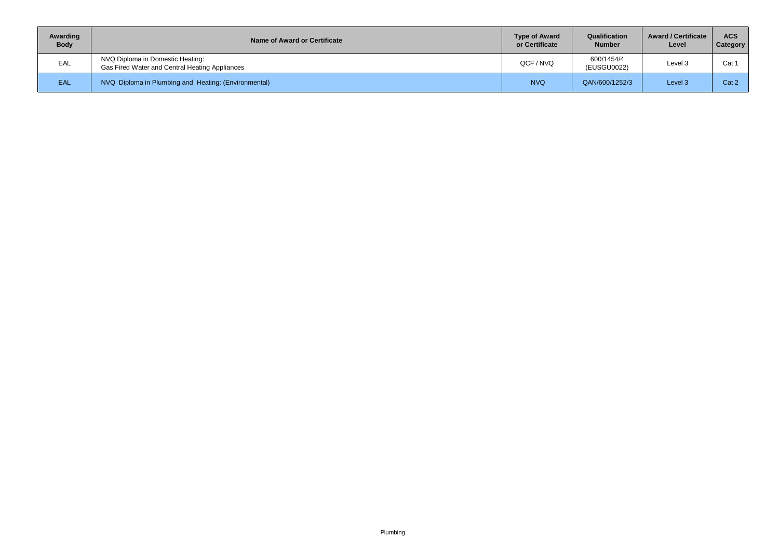| Awarding<br><b>Body</b> | Name of Award or Certificate                                                       | <b>Type of Award</b><br>or Certificate | Qualification<br><b>Number</b> | <b>Award / Certificate</b><br>Level | <b>ACS</b><br><b>Category</b> |
|-------------------------|------------------------------------------------------------------------------------|----------------------------------------|--------------------------------|-------------------------------------|-------------------------------|
| EAL                     | NVQ Diploma in Domestic Heating:<br>Gas Fired Water and Central Heating Appliances | QCF / NVQ                              | 600/1454/4<br>(EUSGU0022)      | Level 3                             | Cat                           |
| EAL                     | NVQ Diploma in Plumbing and Heating: (Environmental)                               | <b>NVQ</b>                             | QAN/600/1252/3                 | Level 3                             | Cat 2                         |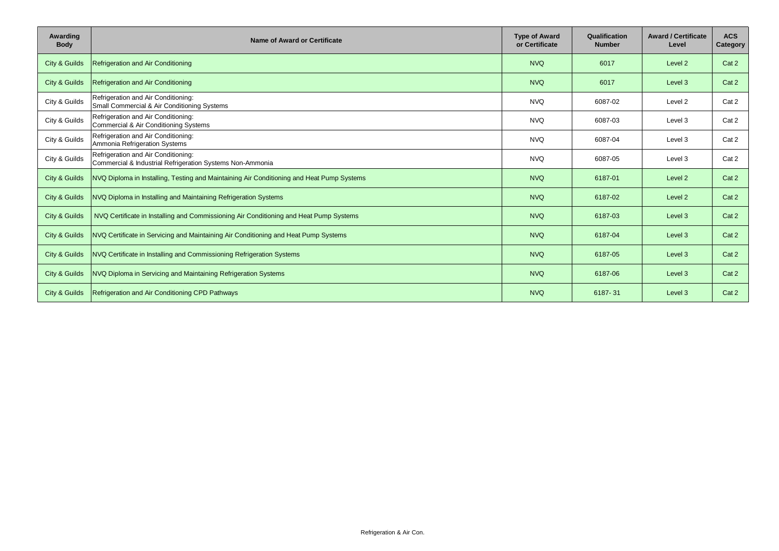| Awarding<br><b>Body</b> | <b>Name of Award or Certificate</b>                                                              | <b>Type of Award</b><br>or Certificate | Qualification<br><b>Number</b> | <b>Award / Certificate</b><br>Level | <b>ACS</b><br>Category |
|-------------------------|--------------------------------------------------------------------------------------------------|----------------------------------------|--------------------------------|-------------------------------------|------------------------|
| City & Guilds           | Refrigeration and Air Conditioning                                                               | <b>NVQ</b>                             | 6017                           | Level 2                             | Cat 2                  |
| City & Guilds           | Refrigeration and Air Conditioning                                                               | <b>NVQ</b>                             | 6017                           | Level 3                             | Cat 2                  |
| City & Guilds           | Refrigeration and Air Conditioning:<br>Small Commercial & Air Conditioning Systems               | <b>NVQ</b>                             | 6087-02                        | Level 2                             | Cat 2                  |
| City & Guilds           | Refrigeration and Air Conditioning:<br>Commercial & Air Conditioning Systems                     | <b>NVQ</b>                             | 6087-03                        | Level 3                             | Cat 2                  |
| City & Guilds           | Refrigeration and Air Conditioning:<br>Ammonia Refrigeration Systems                             | <b>NVQ</b>                             | 6087-04                        | Level 3                             | Cat 2                  |
| City & Guilds           | Refrigeration and Air Conditioning:<br>Commercial & Industrial Refrigeration Systems Non-Ammonia | <b>NVQ</b>                             | 6087-05                        | Level 3                             | Cat 2                  |
| City & Guilds           | NVQ Diploma in Installing, Testing and Maintaining Air Conditioning and Heat Pump Systems        | <b>NVQ</b>                             | 6187-01                        | Level 2                             | Cat 2                  |
| City & Guilds           | NVQ Diploma in Installing and Maintaining Refrigeration Systems                                  | <b>NVQ</b>                             | 6187-02                        | Level 2                             | Cat 2                  |
| City & Guilds           | NVQ Certificate in Installing and Commissioning Air Conditioning and Heat Pump Systems           | <b>NVQ</b>                             | 6187-03                        | Level 3                             | Cat 2                  |
| City & Guilds           | NVQ Certificate in Servicing and Maintaining Air Conditioning and Heat Pump Systems              | <b>NVQ</b>                             | 6187-04                        | Level 3                             | Cat 2                  |
| City & Guilds           | NVQ Certificate in Installing and Commissioning Refrigeration Systems                            | <b>NVQ</b>                             | 6187-05                        | Level 3                             | Cat 2                  |
| City & Guilds           | NVQ Diploma in Servicing and Maintaining Refrigeration Systems                                   | <b>NVQ</b>                             | 6187-06                        | Level 3                             | Cat 2                  |
| City & Guilds           | Refrigeration and Air Conditioning CPD Pathways                                                  | <b>NVQ</b>                             | 6187-31                        | Level 3                             | Cat 2                  |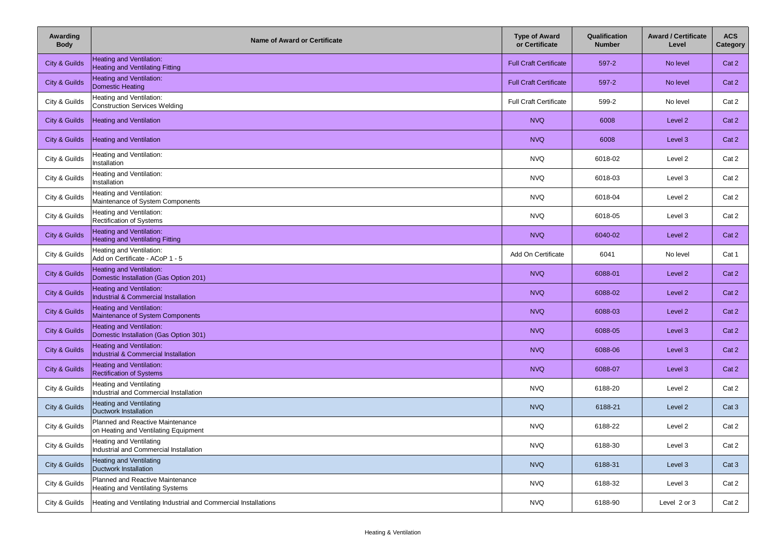| Awarding<br><b>Body</b> | <b>Name of Award or Certificate</b>                                       | <b>Type of Award</b><br>or Certificate | Qualification<br><b>Number</b> | <b>Award / Certificate</b><br>Level | <b>ACS</b><br>Category |
|-------------------------|---------------------------------------------------------------------------|----------------------------------------|--------------------------------|-------------------------------------|------------------------|
| City & Guilds           | <b>Heating and Ventilation:</b><br><b>Heating and Ventilating Fitting</b> | <b>Full Craft Certificate</b>          | 597-2                          | No level                            | Cat 2                  |
| City & Guilds           | Heating and Ventilation:<br><b>Domestic Heating</b>                       | <b>Full Craft Certificate</b>          | 597-2                          | No level                            | Cat 2                  |
| City & Guilds           | Heating and Ventilation:<br><b>Construction Services Welding</b>          | <b>Full Craft Certificate</b>          | 599-2                          | No level                            | Cat 2                  |
| City & Guilds           | <b>Heating and Ventilation</b>                                            | <b>NVQ</b>                             | 6008                           | Level 2                             | Cat 2                  |
| City & Guilds           | <b>Heating and Ventilation</b>                                            | <b>NVQ</b>                             | 6008                           | Level 3                             | Cat 2                  |
| City & Guilds           | Heating and Ventilation:<br>Installation                                  | <b>NVQ</b>                             | 6018-02                        | Level 2                             | Cat 2                  |
| City & Guilds           | Heating and Ventilation:<br>Installation                                  | <b>NVQ</b>                             | 6018-03                        | Level 3                             | Cat 2                  |
| City & Guilds           | Heating and Ventilation:<br>Maintenance of System Components              | <b>NVQ</b>                             | 6018-04                        | Level 2                             | Cat 2                  |
| City & Guilds           | Heating and Ventilation:<br>Rectification of Systems                      | <b>NVQ</b>                             | 6018-05                        | Level 3                             | Cat 2                  |
| City & Guilds           | Heating and Ventilation:<br><b>Heating and Ventilating Fitting</b>        | <b>NVQ</b>                             | 6040-02                        | Level 2                             | Cat 2                  |
| City & Guilds           | Heating and Ventilation:<br>Add on Certificate - ACoP 1 - 5               | Add On Certificate                     | 6041                           | No level                            | Cat 1                  |
| City & Guilds           | <b>Heating and Ventilation:</b><br>Domestic Installation (Gas Option 201) | <b>NVQ</b>                             | 6088-01                        | Level 2                             | Cat 2                  |
| City & Guilds           | Heating and Ventilation:<br>Industrial & Commercial Installation          | <b>NVQ</b>                             | 6088-02                        | Level 2                             | Cat 2                  |
| City & Guilds           | Heating and Ventilation:<br>Maintenance of System Components              | <b>NVQ</b>                             | 6088-03                        | Level 2                             | Cat 2                  |
| City & Guilds           | Heating and Ventilation:<br>Domestic Installation (Gas Option 301)        | <b>NVQ</b>                             | 6088-05                        | Level 3                             | Cat 2                  |
| City & Guilds           | Heating and Ventilation:<br>Industrial & Commercial Installation          | <b>NVQ</b>                             | 6088-06                        | Level 3                             | Cat 2                  |
| City & Guilds           | Heating and Ventilation:<br><b>Rectification of Systems</b>               | <b>NVQ</b>                             | 6088-07                        | Level 3                             | Cat 2                  |
| City & Guilds           | <b>Heating and Ventilating</b><br>Industrial and Commercial Installation  | <b>NVQ</b>                             | 6188-20                        | Level 2                             | Cat 2                  |
| City & Guilds           | <b>Heating and Ventilating</b><br><b>Ductwork Installation</b>            | <b>NVQ</b>                             | 6188-21                        | Level 2                             | Cat 3                  |
| City & Guilds           | Planned and Reactive Maintenance<br>on Heating and Ventilating Equipment  | <b>NVQ</b>                             | 6188-22                        | Level 2                             | Cat 2                  |
| City & Guilds           | Heating and Ventilating<br>Industrial and Commercial Installation         | <b>NVQ</b>                             | 6188-30                        | Level 3                             | Cat 2                  |
| City & Guilds           | <b>Heating and Ventilating</b><br><b>Ductwork Installation</b>            | <b>NVQ</b>                             | 6188-31                        | Level 3                             | Cat3                   |
| City & Guilds           | Planned and Reactive Maintenance<br>Heating and Ventilating Systems       | <b>NVQ</b>                             | 6188-32                        | Level 3                             | Cat 2                  |
| City & Guilds           | Heating and Ventilating Industrial and Commercial Installations           | <b>NVQ</b>                             | 6188-90                        | Level 2 or 3                        | Cat 2                  |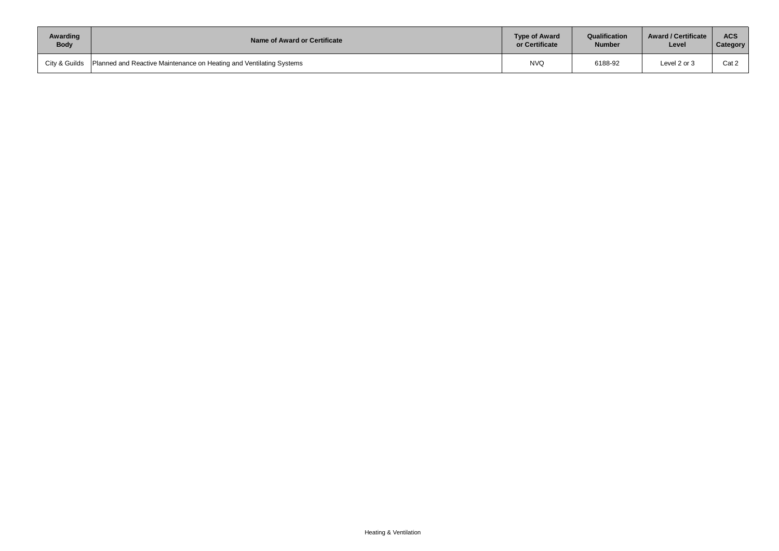| Awarding    | Name of Award or Certificate                                                        | <b>Type of Award</b> | Qualification | <b>Award / Certificate</b> | <b>ACS</b> |
|-------------|-------------------------------------------------------------------------------------|----------------------|---------------|----------------------------|------------|
| <b>Body</b> |                                                                                     | or Certificate       | <b>Number</b> | Level                      | Category   |
|             | City & Guilds   Planned and Reactive Maintenance on Heating and Ventilating Systems | <b>NVQ</b>           | 6188-92       | Level 2 or 3               | Cat 2      |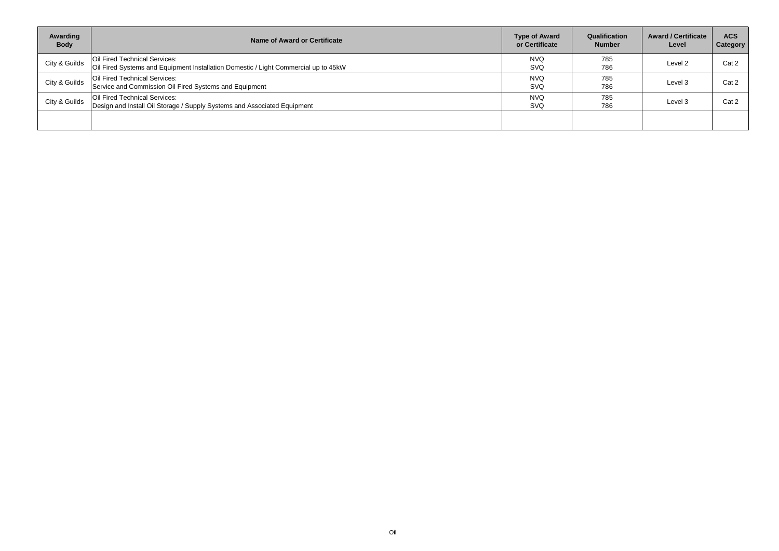| Awarding<br><b>Body</b> | Name of Award or Certificate                                                                                         | <b>Type of Award</b><br>or Certificate | Qualification<br><b>Number</b> | <b>Award / Certificate</b><br>Level | <b>ACS</b><br><b>Category</b> |
|-------------------------|----------------------------------------------------------------------------------------------------------------------|----------------------------------------|--------------------------------|-------------------------------------|-------------------------------|
| City & Guilds           | Oil Fired Technical Services:<br>Oil Fired Systems and Equipment Installation Domestic / Light Commercial up to 45kW | <b>NVQ</b><br><b>SVQ</b>               | 785<br>786                     | Level 2                             | Cat 2                         |
| City & Guilds           | Oil Fired Technical Services:<br>Service and Commission Oil Fired Systems and Equipment                              | <b>NVQ</b><br><b>SVQ</b>               | 785<br>786                     | Level 3                             | Cat 2                         |
| City & Guilds           | Oil Fired Technical Services:<br>Design and Install Oil Storage / Supply Systems and Associated Equipment            | <b>NVQ</b><br>SVQ                      | 785<br>786                     | Level 3                             | Cat 2                         |
|                         |                                                                                                                      |                                        |                                |                                     |                               |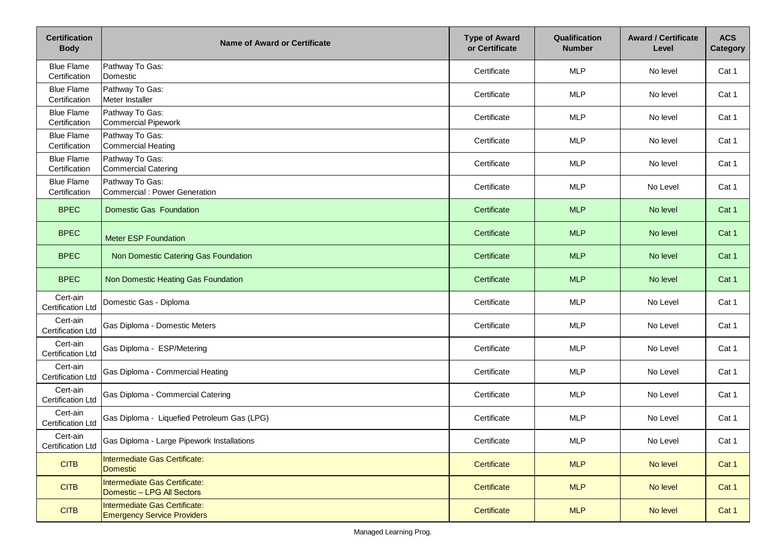| <b>Certification</b><br><b>Body</b>  | <b>Name of Award or Certificate</b>                                 | <b>Type of Award</b><br>or Certificate | Qualification<br><b>Number</b> | <b>Award / Certificate</b><br>Level | <b>ACS</b><br><b>Category</b> |
|--------------------------------------|---------------------------------------------------------------------|----------------------------------------|--------------------------------|-------------------------------------|-------------------------------|
| <b>Blue Flame</b><br>Certification   | Pathway To Gas:<br>Domestic                                         | Certificate                            | <b>MLP</b>                     | No level                            | Cat 1                         |
| <b>Blue Flame</b><br>Certification   | Pathway To Gas:<br>Meter Installer                                  | Certificate                            | <b>MLP</b>                     | No level                            | Cat 1                         |
| <b>Blue Flame</b><br>Certification   | Pathway To Gas:<br>Commercial Pipework                              | Certificate                            | <b>MLP</b>                     | No level                            | Cat 1                         |
| <b>Blue Flame</b><br>Certification   | Pathway To Gas:<br>Commercial Heating                               | Certificate                            | <b>MLP</b>                     | No level                            | Cat 1                         |
| <b>Blue Flame</b><br>Certification   | Pathway To Gas:<br><b>Commercial Catering</b>                       | Certificate                            | <b>MLP</b>                     | No level                            | Cat 1                         |
| <b>Blue Flame</b><br>Certification   | Pathway To Gas:<br>Commercial : Power Generation                    | Certificate                            | <b>MLP</b>                     | No Level                            | Cat 1                         |
| <b>BPEC</b>                          | <b>Domestic Gas Foundation</b>                                      | Certificate                            | <b>MLP</b>                     | No level                            | Cat 1                         |
| <b>BPEC</b>                          | <b>Meter ESP Foundation</b>                                         | Certificate                            | <b>MLP</b>                     | No level                            | Cat 1                         |
| <b>BPEC</b>                          | Non Domestic Catering Gas Foundation                                | Certificate                            | <b>MLP</b>                     | No level                            | Cat 1                         |
| <b>BPEC</b>                          | Non Domestic Heating Gas Foundation                                 | Certificate                            | <b>MLP</b>                     | No level                            | Cat 1                         |
| Cert-ain<br><b>Certification Ltd</b> | Domestic Gas - Diploma                                              | Certificate                            | <b>MLP</b>                     | No Level                            | Cat 1                         |
| Cert-ain<br><b>Certification Ltd</b> | Gas Diploma - Domestic Meters                                       | Certificate                            | <b>MLP</b>                     | No Level                            | Cat 1                         |
| Cert-ain<br><b>Certification Ltd</b> | Gas Diploma - ESP/Metering                                          | Certificate                            | <b>MLP</b>                     | No Level                            | Cat 1                         |
| Cert-ain<br><b>Certification Ltd</b> | Gas Diploma - Commercial Heating                                    | Certificate                            | <b>MLP</b>                     | No Level                            | Cat 1                         |
| Cert-ain<br><b>Certification Ltd</b> | Gas Diploma - Commercial Catering                                   | Certificate                            | <b>MLP</b>                     | No Level                            | Cat 1                         |
| Cert-ain<br><b>Certification Ltd</b> | Gas Diploma - Liquefied Petroleum Gas (LPG)                         | Certificate                            | <b>MLP</b>                     | No Level                            | Cat 1                         |
| Cert-ain<br>Certification Ltd        | Gas Diploma - Large Pipework Installations                          | Certificate                            | <b>MLP</b>                     | No Level                            | Cat 1                         |
| <b>CITB</b>                          | Intermediate Gas Certificate:<br><b>Domestic</b>                    | Certificate                            | <b>MLP</b>                     | No level                            | Cat 1                         |
| <b>CITB</b>                          | Intermediate Gas Certificate:<br>Domestic - LPG All Sectors         | Certificate                            | <b>MLP</b>                     | No level                            | Cat 1                         |
| <b>CITB</b>                          | Intermediate Gas Certificate:<br><b>Emergency Service Providers</b> | Certificate                            | <b>MLP</b>                     | No level                            | Cat 1                         |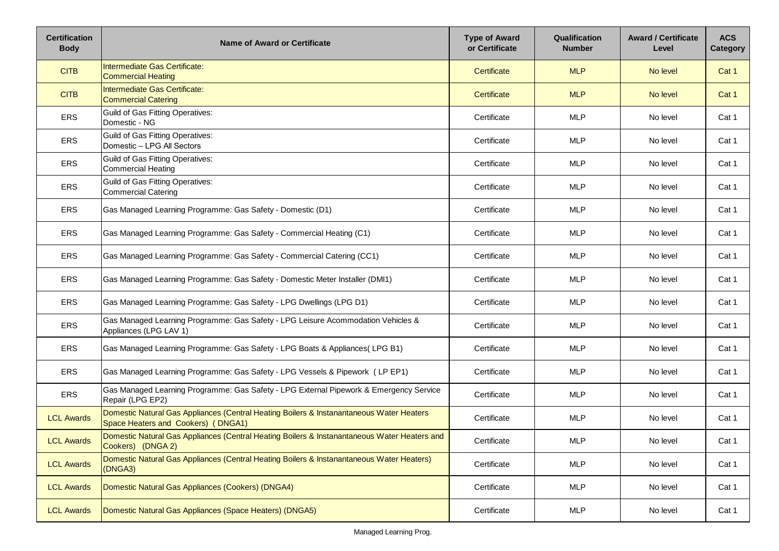| <b>Certification</b><br><b>Body</b> | <b>Name of Award or Certificate</b>                                                                                            | <b>Type of Award</b><br>or Certificate | <b>Qualification</b><br><b>Number</b> | <b>Award / Certificate</b><br>Level | <b>ACS</b><br>Category |
|-------------------------------------|--------------------------------------------------------------------------------------------------------------------------------|----------------------------------------|---------------------------------------|-------------------------------------|------------------------|
| <b>CITB</b>                         | Intermediate Gas Certificate:<br>Commercial Heating                                                                            | Certificate                            | <b>MLP</b>                            | No level                            | Cat 1                  |
| <b>CITB</b>                         | Intermediate Gas Certificate:<br><b>Commercial Catering</b>                                                                    | Certificate                            | <b>MLP</b>                            | No level                            | Cat 1                  |
| ERS                                 | Guild of Gas Fitting Operatives:<br>Domestic - NG                                                                              | Certificate                            | <b>MLP</b>                            | No level                            | Cat 1                  |
| ERS                                 | Guild of Gas Fitting Operatives:<br>Domestic – LPG All Sectors                                                                 | Certificate                            | <b>MLP</b>                            | No level                            | Cat 1                  |
| <b>ERS</b>                          | Guild of Gas Fitting Operatives:<br>Commercial Heating                                                                         | Certificate                            | <b>MLP</b>                            | No level                            | Cat 1                  |
| <b>ERS</b>                          | Guild of Gas Fitting Operatives:<br>Commercial Catering                                                                        | Certificate                            | <b>MLP</b>                            | No level                            | Cat 1                  |
| <b>ERS</b>                          | Gas Managed Learning Programme: Gas Safety - Domestic (D1)                                                                     | Certificate                            | <b>MLP</b>                            | No level                            | Cat 1                  |
| <b>ERS</b>                          | Gas Managed Learning Programme: Gas Safety - Commercial Heating (C1)                                                           | Certificate                            | <b>MLP</b>                            | No level                            | Cat 1                  |
| ERS                                 | Gas Managed Learning Programme: Gas Safety - Commercial Catering (CC1)                                                         | Certificate                            | <b>MLP</b>                            | No level                            | Cat 1                  |
| <b>ERS</b>                          | Gas Managed Learning Programme: Gas Safety - Domestic Meter Installer (DMI1)                                                   | Certificate                            | <b>MLP</b>                            | No level                            | Cat 1                  |
| <b>ERS</b>                          | Gas Managed Learning Programme: Gas Safety - LPG Dwellings (LPG D1)                                                            | Certificate                            | <b>MLP</b>                            | No level                            | Cat 1                  |
| <b>ERS</b>                          | Gas Managed Learning Programme: Gas Safety - LPG Leisure Acommodation Vehicles &<br>Appliances (LPG LAV 1)                     | Certificate                            | <b>MLP</b>                            | No level                            | Cat 1                  |
| <b>ERS</b>                          | Gas Managed Learning Programme: Gas Safety - LPG Boats & Appliances(LPG B1)                                                    | Certificate                            | <b>MLP</b>                            | No level                            | Cat 1                  |
| <b>ERS</b>                          | Gas Managed Learning Programme: Gas Safety - LPG Vessels & Pipework (LP EP1)                                                   | Certificate                            | <b>MLP</b>                            | No level                            | Cat 1                  |
| <b>ERS</b>                          | Gas Managed Learning Programme: Gas Safety - LPG External Pipework & Emergency Service<br>Repair (LPG EP2)                     | Certificate                            | <b>MLP</b>                            | No level                            | Cat 1                  |
| <b>LCL Awards</b>                   | Domestic Natural Gas Appliances (Central Heating Boilers & Instanantaneous Water Heaters<br>Space Heaters and Cookers) (DNGA1) | Certificate                            | <b>MLP</b>                            | No level                            | Cat 1                  |
| <b>LCL Awards</b>                   | Domestic Natural Gas Appliances (Central Heating Boilers & Instanantaneous Water Heaters and<br>Cookers) (DNGA 2)              | Certificate                            | <b>MLP</b>                            | No level                            | Cat 1                  |
| <b>LCL Awards</b>                   | Domestic Natural Gas Appliances (Central Heating Boilers & Instanantaneous Water Heaters)<br>(DNGA3)                           | Certificate                            | <b>MLP</b>                            | No level                            | Cat 1                  |
| <b>LCL Awards</b>                   | Domestic Natural Gas Appliances (Cookers) (DNGA4)                                                                              | Certificate                            | <b>MLP</b>                            | No level                            | Cat 1                  |
| <b>LCL Awards</b>                   | Domestic Natural Gas Appliances (Space Heaters) (DNGA5)                                                                        | Certificate                            | <b>MLP</b>                            | No level                            | Cat 1                  |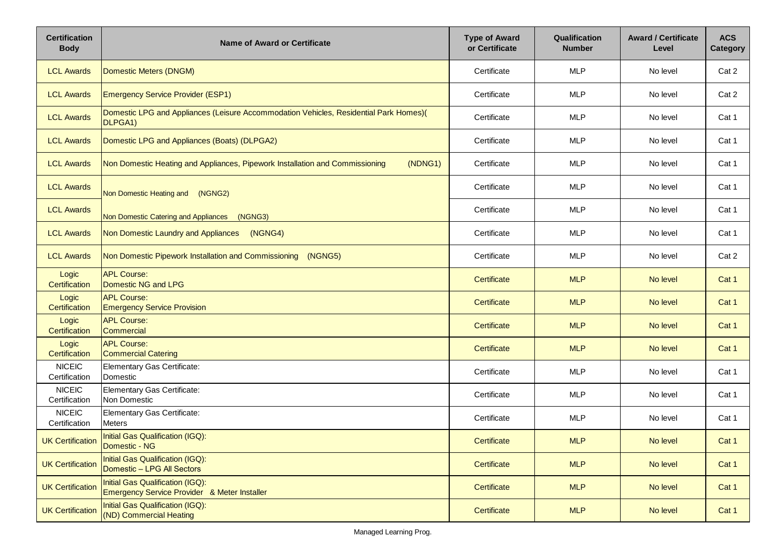| <b>Certification</b><br><b>Body</b> | <b>Name of Award or Certificate</b>                                                                           | <b>Type of Award</b><br>or Certificate | Qualification<br><b>Number</b> | <b>Award / Certificate</b><br>Level | <b>ACS</b><br><b>Category</b> |
|-------------------------------------|---------------------------------------------------------------------------------------------------------------|----------------------------------------|--------------------------------|-------------------------------------|-------------------------------|
| <b>LCL Awards</b>                   | Domestic Meters (DNGM)                                                                                        | Certificate                            | <b>MLP</b>                     | No level                            | Cat 2                         |
| <b>LCL Awards</b>                   | <b>Emergency Service Provider (ESP1)</b>                                                                      | Certificate                            | <b>MLP</b>                     | No level                            | Cat 2                         |
| <b>LCL Awards</b>                   | Domestic LPG and Appliances (Leisure Accommodation Vehicles, Residential Park Homes)(<br>DLPGA <sub>1</sub> ) | Certificate                            | <b>MLP</b>                     | No level                            | Cat 1                         |
| <b>LCL Awards</b>                   | Domestic LPG and Appliances (Boats) (DLPGA2)                                                                  | Certificate                            | <b>MLP</b>                     | No level                            | Cat 1                         |
| <b>LCL Awards</b>                   | Non Domestic Heating and Appliances, Pipework Installation and Commissioning<br>(NDNG1)                       | Certificate                            | <b>MLP</b>                     | No level                            | Cat 1                         |
| <b>LCL Awards</b>                   | Non Domestic Heating and<br>(NGNG2)                                                                           | Certificate                            | <b>MLP</b>                     | No level                            | Cat 1                         |
| <b>LCL Awards</b>                   | Non Domestic Catering and Appliances<br>(NGNG3)                                                               | Certificate                            | <b>MLP</b>                     | No level                            | Cat 1                         |
| <b>LCL Awards</b>                   | Non Domestic Laundry and Appliances<br>(NGNG4)                                                                | Certificate                            | <b>MLP</b>                     | No level                            | Cat 1                         |
| <b>LCL Awards</b>                   | Non Domestic Pipework Installation and Commissioning (NGNG5)                                                  | Certificate                            | <b>MLP</b>                     | No level                            | Cat 2                         |
| Logic<br><b>Certification</b>       | <b>APL Course:</b><br>Domestic NG and LPG                                                                     | Certificate                            | <b>MLP</b>                     | No level                            | Cat 1                         |
| Logic<br>Certification              | <b>APL Course:</b><br><b>Emergency Service Provision</b>                                                      | Certificate                            | <b>MLP</b>                     | No level                            | Cat 1                         |
| Logic<br><b>Certification</b>       | <b>APL Course:</b><br>Commercial                                                                              | Certificate                            | <b>MLP</b>                     | No level                            | Cat 1                         |
| Logic<br>Certification              | <b>APL Course:</b><br><b>Commercial Catering</b>                                                              | Certificate                            | <b>MLP</b>                     | No level                            | Cat 1                         |
| <b>NICEIC</b><br>Certification      | <b>Elementary Gas Certificate:</b><br>Domestic                                                                | Certificate                            | <b>MLP</b>                     | No level                            | Cat 1                         |
| <b>NICEIC</b><br>Certification      | Elementary Gas Certificate:<br>Non Domestic                                                                   | Certificate                            | <b>MLP</b>                     | No level                            | Cat 1                         |
| <b>NICEIC</b><br>Certification      | Elementary Gas Certificate:<br><b>Meters</b>                                                                  | Certificate                            | <b>MLP</b>                     | No level                            | Cat 1                         |
| <b>UK Certification</b>             | Initial Gas Qualification (IGQ):<br>Domestic - NG                                                             | Certificate                            | <b>MLP</b>                     | No level                            | Cat 1                         |
| <b>UK Certification</b>             | Initial Gas Qualification (IGQ):<br>Domestic - LPG All Sectors                                                | Certificate                            | <b>MLP</b>                     | No level                            | Cat 1                         |
| <b>UK Certification</b>             | Initial Gas Qualification (IGQ):<br>Emergency Service Provider & Meter Installer                              | Certificate                            | <b>MLP</b>                     | No level                            | Cat 1                         |
| <b>UK Certification</b>             | Initial Gas Qualification (IGQ):<br>(ND) Commercial Heating                                                   | Certificate                            | <b>MLP</b>                     | No level                            | Cat 1                         |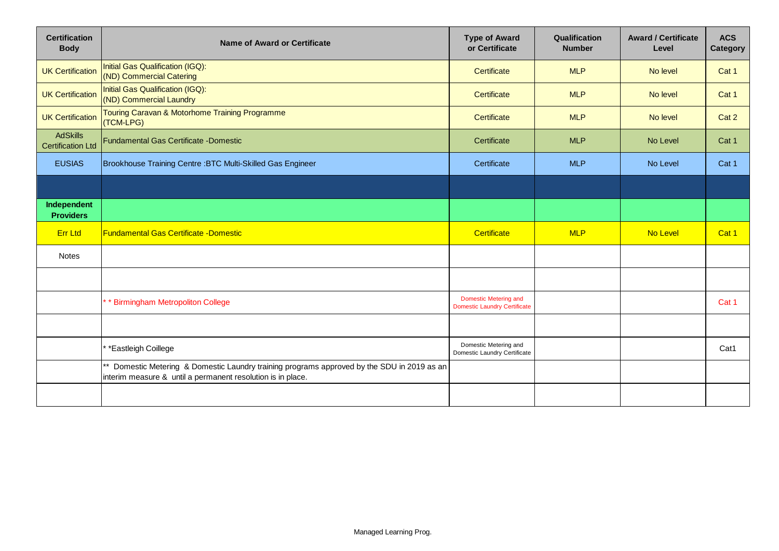| <b>Certification</b><br><b>Body</b>         | <b>Name of Award or Certificate</b>                                                                                                                     | <b>Type of Award</b><br>or Certificate                       | Qualification<br><b>Number</b> | <b>Award / Certificate</b><br>Level | <b>ACS</b><br>Category |
|---------------------------------------------|---------------------------------------------------------------------------------------------------------------------------------------------------------|--------------------------------------------------------------|--------------------------------|-------------------------------------|------------------------|
| <b>UK Certification</b>                     | Initial Gas Qualification (IGQ):<br>(ND) Commercial Catering                                                                                            | Certificate                                                  | <b>MLP</b>                     | No level                            | Cat 1                  |
| <b>UK Certification</b>                     | Initial Gas Qualification (IGQ):<br>(ND) Commercial Laundry                                                                                             | Certificate                                                  | <b>MLP</b>                     | No level                            | Cat 1                  |
| <b>UK Certification</b>                     | Touring Caravan & Motorhome Training Programme<br>(TCM-LPG)                                                                                             | Certificate                                                  | <b>MLP</b>                     | No level                            | Cat 2                  |
| <b>AdSkills</b><br><b>Certification Ltd</b> | <b>Fundamental Gas Certificate -Domestic</b>                                                                                                            | Certificate                                                  | <b>MLP</b>                     | No Level                            | Cat 1                  |
| <b>EUSIAS</b>                               | Brookhouse Training Centre : BTC Multi-Skilled Gas Engineer                                                                                             | Certificate                                                  | <b>MLP</b>                     | No Level                            | Cat 1                  |
|                                             |                                                                                                                                                         |                                                              |                                |                                     |                        |
| Independent<br><b>Providers</b>             |                                                                                                                                                         |                                                              |                                |                                     |                        |
| <b>Err Ltd</b>                              | <b>Fundamental Gas Certificate - Domestic</b>                                                                                                           | Certificate                                                  | <b>MLP</b>                     | No Level                            | Cat 1                  |
| <b>Notes</b>                                |                                                                                                                                                         |                                                              |                                |                                     |                        |
|                                             |                                                                                                                                                         |                                                              |                                |                                     |                        |
|                                             | * Birmingham Metropoliton College                                                                                                                       | Domestic Metering and<br><b>Domestic Laundry Certificate</b> |                                |                                     | Cat 1                  |
|                                             |                                                                                                                                                         |                                                              |                                |                                     |                        |
|                                             | *Eastleigh Coillege                                                                                                                                     | Domestic Metering and<br><b>Domestic Laundry Certificate</b> |                                |                                     | Cat1                   |
|                                             | Domestic Metering & Domestic Laundry training programs approved by the SDU in 2019 as an<br>interim measure & until a permanent resolution is in place. |                                                              |                                |                                     |                        |
|                                             |                                                                                                                                                         |                                                              |                                |                                     |                        |